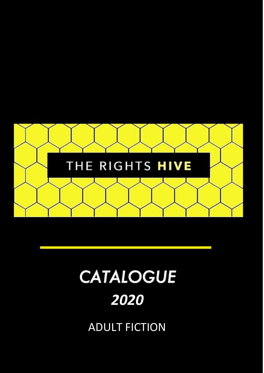

# **CATALOGUE**

# *2020*

ADULT FICTION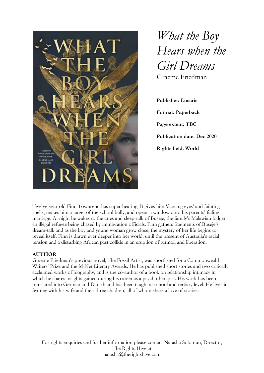

*What the Boy Hears when the Girl Dreams* Graeme Friedman

**Publisher: Lusaris Format: Paperback Page extent: TBC Publication date: Dec 2020 Rights held: World**

Twelve-year-old Finn Townsend has super-hearing. It gives him 'dancing eyes' and fainting spells, makes him a target of the school bully, and opens a window onto his parents' failing marriage. At night he wakes to the cries and sleep-talk of Buseje, the family's Malawian lodger, an illegal refugee being chased by immigration officials. Finn gathers fragments of Buseje's dream-talk and as the boy and young woman grow close, the mystery of her life begins to reveal itself. Finn is drawn ever deeper into her world, until the present of Australia's racial tension and a disturbing African past collide in an eruption of turmoil and liberation.

#### **AUTHOR**

Graeme Friedman's previous novel, The Fossil Artist, was shortlisted for a Commonwealth Writers' Prize and the M-Net Literary Awards. He has published short stories and two critically acclaimed works of biography, and is the co-author of a book on relationship intimacy in which he shares insights gained during his career as a psychotherapist. His work has been translated into German and Danish and has been taught at school and tertiary level. He lives in Sydney with his wife and their three children, all of whom share a love of stories.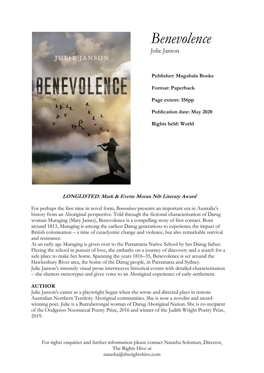

*Benevolence*

Julie Janson

**Publisher: Magabala Books Format: Paperback Page extent: 356pp Publication date: May 2020 Rights held: World**

# **LONGLISTED: Mark & Evette Moran Nib Literary Award**

For perhaps the first time in novel form, *Benevolence* presents an important era in Australia's history from an Aboriginal perspective. Told through the fictional characterisation of Darug woman Muraging (Mary James), Benevolence is a compelling story of first contact. Born around 1813, Muraging is among the earliest Darug generations to experience the impact of British colonisation – a time of cataclysmic change and violence, but also remarkable survival and resistance.

At an early age Muraging is given over to the Parramatta Native School by her Darug father. Fleeing the school in pursuit of love, she embarks on a journey of discovery and a search for a safe place to make her home. Spanning the years 1816–35, Benevolence is set around the Hawkesbury River area, the home of the Darug people, in Parramatta and Sydney. Julie Janson's intensely visual prose interweaves historical events with detailed characterisation – she shatters stereotypes and gives voice to an Aboriginal experience of early-settlement.

#### **AUTHOR**

Julie Janson's career as a playwright began when she wrote and directed plays in remote Australian Northern Territory Aboriginal communities. She is now a novelist and awardwinning poet. Julie is a Burruberongal woman of Darug Aboriginal Nation. She is co-recipient of the Oodgeroo Noonuccal Poetry Prize, 2016 and winner of the Judith Wright Poetry Prize, 2019.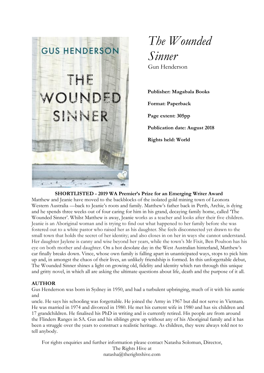

*The Wounded Sinner* Gun Henderson

**Publisher: Magabala Books Format: Paperback Page extent: 305pp Publication date: August 2018 Rights held: World**

# **SHORTLISTED - 2019 WA Premier's Prize for an Emerging Writer Award**

Matthew and Jeanie have moved to the backblocks of the isolated gold mining town of Leonora Western Australia —back to Jeanie's roots and family. Matthew's father back in Perth, Archie, is dying and he spends three weeks out of four caring for him in his grand, decaying family home, called 'The Wounded Sinner'. Whilst Matthew is away, Jeanie works as a teacher and looks after their five children. Jeanie is an Aboriginal woman and is trying to find out what happened to her family before she was fostered out to a white pastor who raised her as his daughter. She feels disconnected yet drawn to the small town that holds the secret of her identity; and also closes in on her in ways she cannot understand. Her daughter Jaylene is canny and wise beyond her years, while the town's Mr Fixit, Ben Poulson has his eye on both mother and daughter. On a hot desolate day in the West Australian hinterland, Matthew's car finally breaks down. Vince, whose own family is falling apart in unanticipated ways, stops to pick him up and, in amongst the chaos of their lives, an unlikely friendship is formed. In this unforgettable debut, The Wounded Sinner shines a light on growing old, fidelity and identity which run through this unique and gritty novel, in which all are asking the ultimate questions about life, death and the purpose of it all.

#### **AUTHOR**

Gus Henderson was born in Sydney in 1950, and had a turbulent upbringing, much of it with his auntie and

uncle. He says his schooling was forgettable. He joined the Army in 1967 but did not serve in Vietnam. He was married in 1974 and divorced in 1980. He met his current wife in 1980 and has six children and 17 grandchildren. He finalised his PhD in writing and is currently retired. His people are from around the Flinders Ranges in SA. Gus and his siblings grew up without any of his Aboriginal family and it has been a struggle over the years to construct a realistic heritage. As children, they were always told not to tell anybody.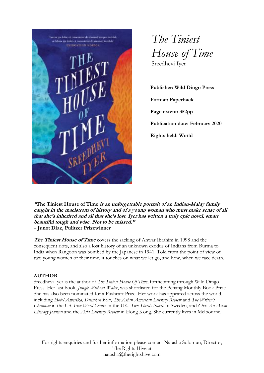

*The Tiniest House of Time* Sreedhevi Iyer

**Publisher: Wild Dingo Press Format: Paperback Page extent: 352pp Publication date: February 2020 Rights held: World**

**"The Tiniest House of Time is an unforgettable portrait of an Indian-Malay family caught in the maelstrom of history and of <sup>a</sup> young woman who must make sense of all that she's inherited and all that she's lost. Iyer has written <sup>a</sup> truly epic novel, smart beautiful tough and wise. Not to be missed." – Junot Diaz, Pulitzer Prizewinner**

**The Tiniest House of Time** covers the sacking of Anwar Ibrahim in 1998 and the consequent riots, and also a lost history of an unknown exodus of Indians from Burma to India when Rangoon was bombed by the Japanese in 1941. Told from the point of view of two young women of their time, it touches on what we let go, and how, when we face death.

# **AUTHOR**

Sreedhevi Iyer is the author of *The Tiniest House Of Time*, forthcoming through Wild Dingo Press. Her last book, *Jungle Without Water*, was shortlisted for the Penang Monthly Book Prize. She has also been nominated for a Pushcart Prize. Her work has appeared across the world, including *Hotel Amerika, Drunken Boat, The Asian American Literary Review* and *The Writer's Chronicle* in the US, *Free Word Centre* in the UK, *Two Thirds North* in Sweden, and *Cha: An Asian Literary Journal* and the *Asia Literary Review* in Hong Kong. She currently lives in Melbourne.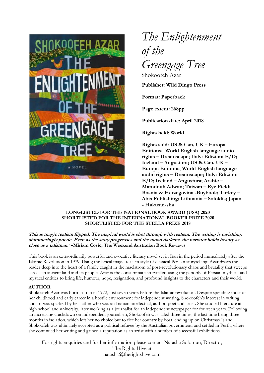

*The Enlightenment of the Greengage Tree* Shokoofeh Azar

**Publisher: Wild Dingo Press**

**Format: Paperback** 

**Page extent: 268pp**

**Publication date: April 2018**

**Rights held**: **World**

**Rights sold: US & Can, UK – Europa Editions; World English language audio rights – Dreamscape; Italy: Edizioni E/O; Iceland – Angustura; US & Can, UK – Europa Editions; World English language audio rights – Dreamscape; Italy: Edizioni E/O; Iceland – Angustura; Arabic – Mamdouh Adwan; Taiwan – Rye Field; Bosnia & Herzegovina -Buybook; Turkey – Abis Publishing; Lithuania – Sofoklis; Japan - Hakusui-sha**

#### **LONGLISTED FOR THE NATIONAL BOOK AWARD (USA) 2020 SHORTLISTED FOR THE INTERNATIONAL BOOKER PRIZE 2020 SHORTLISTED FOR THE STELLA PRIZE 2018**

**This is magic realism flipped. The magical world is shot through with realism. The writing is ravishing: shimmeringly poetic. Even as the story progresses and the mood darkens, the narrator holds beauty as close as a talisman."–Miriam Cosic; The Weekend Australian Book Reviews**

This book is an extraordinarily powerful and evocative literary novel set in Iran in the period immediately after the Islamic Revolution in 1979. Using the lyrical magic realism style of classical Persian storytelling, Azar draws the reader deep into the heart of a family caught in the maelstrom of post-revolutionary chaos and brutality that sweeps across an ancient land and its people. Azar is the consummate storyteller, using the panoply of Persian mythical and mystical entities to bring life, humour, hope, resignation, and profound insights to the characters and their world.

#### **AUTHOR**

Shokoofeh Azar was born in Iran in 1972, just seven years before the Islamic revolution. Despite spending most of her childhood and early career in a hostile environment for independent writing, Shokoofeh's interest in writing and art was sparked by her father who was an Iranian intellectual, author, poet and artist. She studied literature at high school and university, later working as a journalist for an independent newspaper for fourteen years. Following an increasing crackdown on independent journalism, Shokoofeh was jailed three times, the last time being three months in isolation, which left her no choice but to flee her country by boat, ending up on Christmas Island. Shokoofeh was ultimately accepted as a political refugee by the Australian government, and settled in Perth, where she continued her writing and gained a reputation as an artist with a number of successful exhibitions.